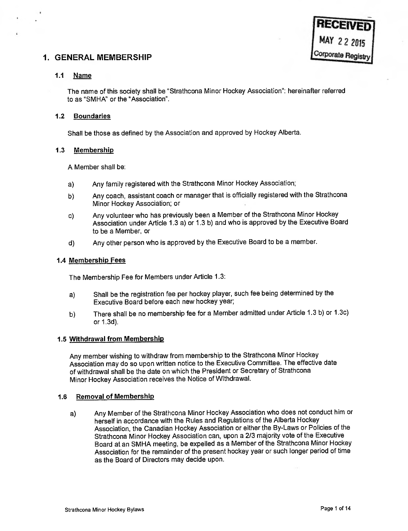## 1. GENERAL MEMBERSHIP

## 1.1 Name

The name of this society shall be "Strathcona Minor Hockey Association": hereinafter referred to as "SMHA" or the "Association".

## 1.2 Boundaries

Shall be those as defined by the Association and approved by Hockey Alberta.

## 1.3 Membership

A Member shall be:

- a) Any family registered with the Strathcona Minor Hockey Association;
- b) Any coach, assistant coach or manager that is officially registered with the Strathcona Minor Hockey Association; or
- c) Any volunteer who has previously been a Member of the Strathcona Minor Hockey Association under Article 1.3 a) or 1.3 b) and who is approved by the Executive Board to be a Member, or
- d) Any other person who is approved by the Executive Board to be a member.

#### 1.4 Membership Fees

The Membership Fee for Members under Article 1.3:

- a) Shall be the registration fee per hockey player, such fee being determined by the Executive Board before each new hockey year;
- b) There shall be no membership fee for a Member admitted under Article 1.3 b) or 1.3c) or 1.3d).

## 1.5 Withdrawal from Membership

Any member wishing to withdraw from membership to the Strathcona Minor Hockey Association may do so upon written notice to the Executive Committee. The effective date of withdrawal shall be the date on which the President or Secretary of Strathcona Minor Hockey Association receives the Notice of Withdrawal.

## 1.6 Removal of Membership

a) Any Member of the Strathcona Minor Hockey Association who does not conduct him or herself in accordance with the Rules and Regulations of the Alberta Hockey Association, the Canadian Hockey Association or either the By-Laws or Policies of the Strathcona Minor Hockey Association can, upon <sup>a</sup>2/3 majority vote of the Executive Board at an SMHA meeting, be expelled as a Member of the Strathcona Minor Hockey Association for the remainder of the present hockey year or such longer period of time as the Board of Directors may decide upon.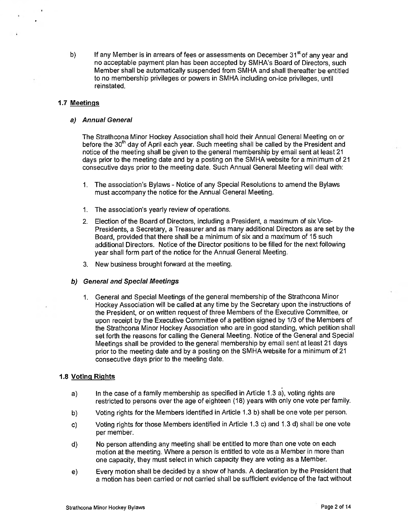b) If any Member is in arrears of fees or assessments on December  $31<sup>st</sup>$  of any year and no acceptable payment plan has been accepted by SMHA's Board of Directors, such Member shall be automatically suspended from SMHA and shall thereafter be entitled to no membership privileges or powers in SMHA including on-ice privileges, until reinstated.

## 1.7 Meetings

#### a) Annual Genera!

The Strathcona Minor Hockey Association shall hold their Annual General Meeting on or before the 30<sup>th</sup> day of April each year. Such meeting shall be called by the President and notice of the meeting shall be given to the general membership by email sent at least 21 days prior to the meeting date and by a posting on the SMHA website for a minimum of 21 consecutive days prior to the meeting date. Such Annual General Meeting will deal with:

- 1. The association's Bylaws Notice of any Special Resolutions to amend the Bylaws must accompany the notice for the Annual General Meeting.
- 1. The association's yearly review of operations.
- 2. Election of the Board of Directors, including a President, a maximum of six Vice-Presidents, a Secretary, a Treasurer and as many additional Directors as are set by the Board, provided that there shall be a minimum of six and a maximum of 15 such additional Directors. Notice of the Director positions to be filled for the next following year shall form part of the notice for the Annual General Meeting.
- 3. New business brought forward at the meeting.

#### b) General and Special Meetings

1. General and Special Meetings of the general membership of the Strathcona Minor Hockey Association will be called at any time by the Secretary upon the instructions of the President, or on written request of three Members of the Executive Committee, or upon receipt by the Executive Committee of a petition signed by 1/3 of the Members of the Strathcona Minor Hockey Association who are in good standing, which petition shall set forth the reasons for calling the General Meeting. Notice of the General and Special Meetings shall be provided to the general membership by email sent at least 21 days prior to the meeting date and by a posting on the SMHA website for a minimum of 21 consecutive days prior to the meeting date.

#### 1.8 Voting Rights

- a) In the case of a family membership as specified in Article 1.3 a), voting rights are restricted to persons over the age of eighteen (18) years with only one vote per family.
- b) Voting rights for the Members identified in Article 1.3 b) shall be one vote per person.
- c) Voting rights for those Members identified in Article 1.3 c) and 1.3 d) shall be one vote per member.
- d) No person attending any meeting shall be entitled to more than one vote on each motion at the meeting. Where a person is entitled to vote as a Member in more than one capacity, they must select in which capacity they are voting as a Member.
- e) Every motion shall be decided by a show of hands. A declaration by the President that a motion has been carried or not carried shall be sufficient evidence of the fact without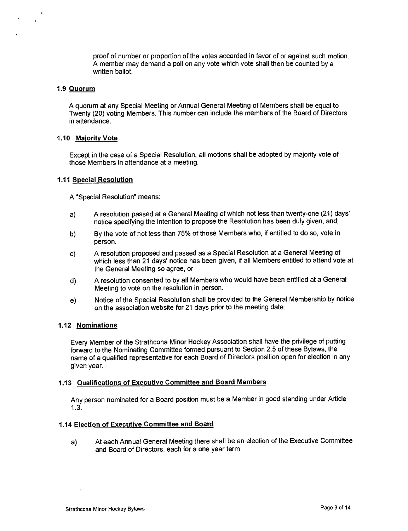proof of number or proportion of the votes accorded in favor of or against such motion. <sup>A</sup>member may demand a poll on any vote which vote shall then be counted by <sup>a</sup> written ballot.

#### 1.9 Quorum

<sup>A</sup>quorum at any Special Meeting or Annual General Meeting of Members shall be equal to Twenty (20) voting Members. This number can include the members of the Board of Directors in attendance.

#### 1.10 Majority Vote

Except in the case of a Special Resolution, all motions shall be adopted by majority vote of those Members in attendance at a meeting.

#### 1.11 Special Resolution

<sup>A</sup>"Special Resolution" means:

- a) A resolution passed at a General Meeting of which not less than twenty-one (21) days' notice specifying the intention to propose the Resolution has been duly given, and;
- b) By the vote of not less than 75% of those Members who, if entitled to do so, vote in person.
- c) A resolution proposed and passed as <sup>a</sup>Special Resolution at a General Meeting of which less than 21 days' notice has been given, if all Members entitled to attend vote at the General Meeting so agree, or
- d) A resolution consented to by all Members who would have been entitled at a General Meeting to vote on the resolution in person.
- e) Notice of the Special Resolution shall be provided to the General Membership by notice on the association website for 21 days prior to the meeting date.

## 1.12 Nominations

Every Member of the Strathcona Minor Hockey Association shall have the privilege of putting forward to the Nominating Committee formed pursuant to Section 2.5 of these Bylaws, the name of a qualified representative for each Board of Directors position open for election in any given year.

#### 1.13 Qualifications of Executive Committee and Board Members

Any person nominated for a Board position must be a Member in good standing under Article 1.3.

#### 1.14 Election of Executive Committee and Board

a) At each Annual General Meeting there shall be an election of the Executive Committee and Board of Directors, each for a one year term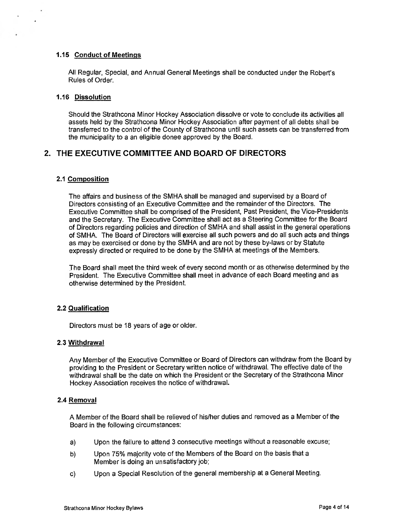## 1.15 Conduct of Meetings

All Regular, Special, and Annual General Meetings shall be conducted under the Robert's Rules of Order.

### 1.16 Dissolution

Should the Strathcona Minor Hockey Association dissolve or vote to conclude its activities all assets held by the Strathcona Minor Hockey Association after payment of all debts shall be transferred to the control of the County of Strathcona until such assets can be transferred from the municipality to a an eligible donee approved by the Board.

# 2. THE EXECUTIVE COMMITTEE AND BOARD OF DIRECTORS

## 2.1 Composition

The affairs and business of the SMHA shall be managed and supervised by a Board of Directors consisting of an Executive Committee and the remainder of the Directors. The Executive Committee shall be comprised of the President, Past President, the Vice-Presidents and the Secretary. The Executive Committee shall act as a Steering Committee for the Board of Directors regarding policies and direction of SMHA and shall assist in the general operations of SMHA. The Board of Directors will exercise all such powers and do all such acts and things as may be exercised or done by the SMHA and are not by these by-laws or by Statute expressly directed or required to be done by the SMHA at meetings of the Members.

The Board shall meet the third week of every second month or as otherwise determined by the President. The Executive Committee shall meet in advance of each Board meeting and as otherwise determined by the President.

## 2.2 Qualification

Directors must be 18 years of age or older.

## 2.3 Withdrawal

Any Member of the Executive Committee or Board of Directors can withdraw from the Board by providing to the President or Secretary written notice of withdrawal. The effective date of the withdrawal shall be the date on which the President or the Secretary of the Strathcona Minor Hockey Association receives the notice of withdrawal.

#### 2.4 Removal

A Member of the Board shall be relieved of his/her duties and removed as a Member of the Board in the following circumstances:

- a) Upon the failure to attend 3 consecutive meetings without a reasonable excuse;
- b) Upon 75% majority vote of the Members of the Board on the basis that a Member is doing an unsatisfactory job;
- c) Upon a Special Resolution of the general membership at a General Meeting.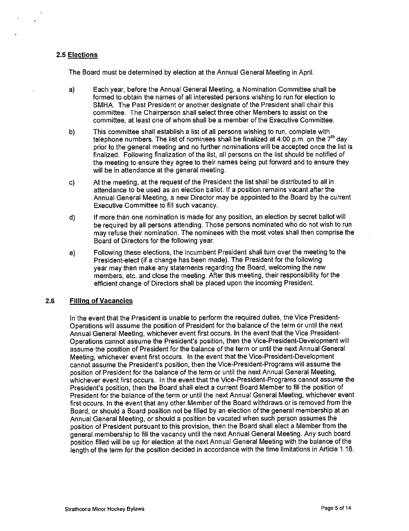## 2.5 Elections

The Board must be determined by election at the Annual General Meeting in April.

- a) Each year, before the Annual General Meeting, a Nomination Committee shall be formed to obtain the names of all interested persons wishing to run for election to SMHA. The Past President or another designate of the President shall chair this committee. The Chairperson shall select three other Members to assist on the committee, at least one of whom shall be a member of the Executive Committee.
- b) This committee shall establish a list of all persons wishing to run, complete with telephone numbers. The list of nominees shall be finalized at 4:00 p.m. on the  $7<sup>th</sup>$  day prior to the general meeting and no further nominations will be accepted once the list is finalized. Following finalization of the list, all persons on the list should be notified of the meeting to ensure they agree to their names being put forward and to ensure they will be in attendance at the general meeting.
- c) At the meeting, at the request of the President the list shall be distributed to all in attendance to be used as an election ballot. If a position remains vacant after the Annual General Meeting, a new Director may be appointed to the Board by the current Executive Committee to fill such vacancy.
- d) If more than one nomination is made for any position, an election by secret ballot will be required by all persons attending. Those persons nominated who do not wish to run may refuse their nomination. The nominees with the most votes shall then comprise the Board of Directors for the following year.
- e) Following these elections, the incumbent President shall turn over the meeting to the President-elect (if a change has been made). The President for the following year may then make any statements regarding the Board, welcoming the new members, etc. and close the meeting. After this meeting, their responsibility for the efficient change of Directors shall be placed upon the incoming President.

## 2.6 Filling of Vacancies

In the event that the President is unable to perform the required duties, the Vice President-Operations will assume the position of President for the balance of the term or until the next Annual General Meeting, whichever event first occurs. In the event that the Vice President-Operations cannot assume the President's position, then the Vice-President-Development will assume the position of President for the balance of the term or until the next Annual General Meeting, whichever event first occurs. In the event that the Vice-President-Development cannot assume the President's position, then the Vice-President-Programs will assume the position of President for the balance of the term or until the next Annual General Meeting, whichever event first occurs. In the event that the Vice-President-Programs cannot assume the President's position, then the Board shall elect a current Board Member to fill the position of President for the balance of the term or until the next Annual General Meeting, whichever event first occurs. In the event that any other Member of the Board withdraws or is removed from the Board, or should a Board position not be filled by an election of the general membership at an Annual General Meeting, or should a position be vacated when such person assumes the position of President pursuant to this provision, then the Board shall elect a Member from the general membership to fill the vacancy until the next Annual General Meeting. Any such board position filled will be up for election at the next Annual General Meeting with the balance of the length of the term for the position decided in accordance with the time limitations in Article 1.16.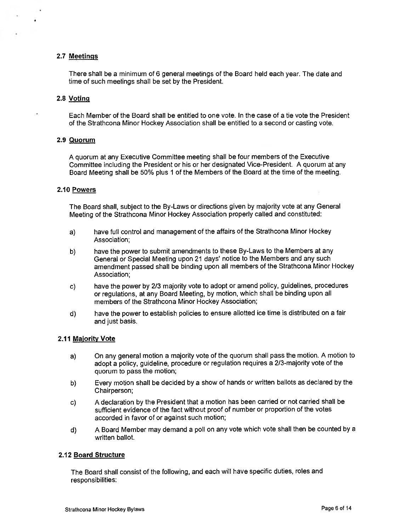### 2.7 Meetings

There shall be a minimum of 6 general meetings of the Board held each year. The date and time of such meetings shall be set by the President.

#### 2.8 Voting

Each Member of the Board shall be entitled to one vote. In the case of a tie vote the President of the Strathcona Minor Hockey Association shall be entitled to a second or casting vote.

#### 2.9 Quorum

A quorum at any Executive Committee meeting shall be four members of the Executive Committee including the President or his or her designated Vice-President. A quorum at any Board Meeting shall be 50% plus 1 of the Members of the Board at the time of the meeting.

#### 2.10 Powers

The Board shall, subject to the By-Laws or directions given by majority vote at any General Meeting of the Strathcona Minor Hockey Association properly called and constituted:

- a) have full control and management of the affairs of the Strathcona Minor Hockey Association;
- b) have the power to submit amendments to these By-Laws to the Members at any General or Special Meeting upon 21 days' notice to the Members and any such amendment passed shall be binding upon all members of the Strathcona Minor Hockey Association;
- c) have the power by 2/3 majority vote to adopt or amend policy, guidelines, procedures or regulations, at any Board Meeting, by motion, which shall be binding upon all members of the Strathcona Minor Hockey Association;
- d) have the power to establish policies to ensure allotted ice time is distributed on a fair and just basis.

## 2.11 Majority Vote

- a) On any general motion a majority vote of the quorum shall pass the motion. A motion to adopt a policy, guideline, procedure or regulation requires a 2/3-majority vote of the quorum to pass the motion;
- b) Every motion shall be decided by a show of hands or written ballots as declared by the Chairperson;
- c) A declaration by the President that a motion has been carried or not carried shall be sufficient evidence of the fact without proof of number or proportion of the votes accorded in favor of or against such motion;
- d) A Board Member may demand a poll on any vote which vote shall then be counted by a written ballot.

#### 2.12 Board Structure

The Board shall consist of the following, and each will have specific duties, roles and responsibilities: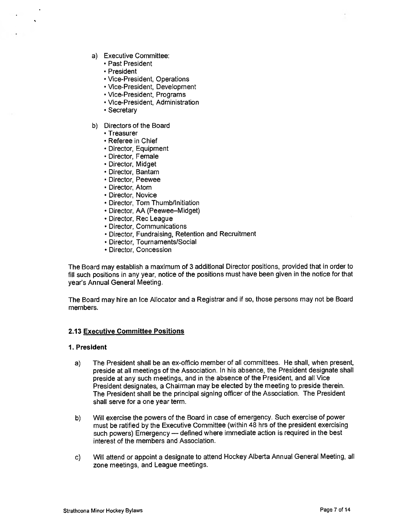- a) Executive Committee:
	- Past President
	- President
	- Vice-President, Operations
	- Vice-President, Development
	- Vice-President, Programs
	- Vice-President, Administration
	- Secretary
- b) Directors of the Board
	- Treasurer
	- Referee in Chief
	- Director, Equipment
	- Director, Female
	- Director, Midget
	- Director, Bantam
	- Director, Peewee
	- Director, Atom
	- Director, Novice
	- Director, Tom Thumb/Initiation
	- Director, AA (Peewee—Midget)
	- Director, Rec League
	- Director, Communications
	- Director, Fundraising, Retention and Recruitment
	- Director, Tournaments/Social
	- Director, Concession

The Board may establish a maximum of 3 additional Director positions, provided that in order to fill such positions in any year, notice of the positions must have been given in the notice for that year's Annual General Meeting.

The Board may hire an Ice Allocator and a Registrar and if so, those persons may not be Board members.

#### 2.13 Executive Committee Positions

#### 1. President

- a) The President shall be an ex-officio member of all committees. He shall, when present, preside at all meetings of the Association. In his absence, the President designate shall preside at any such meetings, and in the absence of the President, and all Vice President designates, a Chairman may be elected by the meeting to preside therein. The President shall be the principal signing officer of the Association. The President shall serve for a one year term.
- b) Will exercise the powers of the Board in case of emergency. Such exercise of power must be ratified by the Executive Committee (within 48 hrs of the president exercising such powers) Emergency — defined where immediate action is required in the best interest of the members and Association.
- c) Will attend or appoint a designate to attend Hockey Alberta Annual General Meeting, all zone meetings, and League meetings.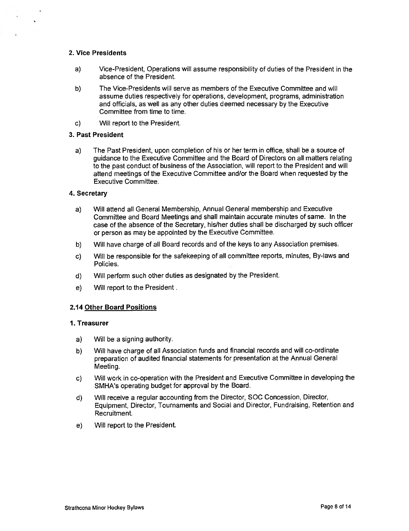### 2. Vice Presidents

- a) Vice-President, Operations will assume responsibility of duties of the President in the absence of the President.
- b) The Vice-Presidents will serve as members of the Executive Committee and will assume duties respectively for operations, development, programs, administration and officials, as well as any other duties deemed necessary by the Executive Committee from time to time.
- c) Will report to the President.

#### 3. Past President

a) The Past President, upon completion of his or her term in office, shall be a source of guidance to the Executive Committee and the Board of Directors on all matters relating to the past conduct of business of the Association, will report to the President and will attend meetings of the Executive Committee and/or the Board when requested by the Executive Committee.

#### 4. Secretary

- a) Will attend all General Membership, Annual General membership and Executive Committee and Board Meetings and shall maintain accurate minutes of same. In the case of the absence of the Secretary, his/her duties shall be discharged by such officer or person as may be appointed by the Executive Committee.
- b) Will have charge of all Board records and of the keys to any Association premises.
- c) Will be responsible for the safekeeping of all committee reports, minutes, By-laws and Policies.
- d) Will perform such other duties as designated by the President.
- e) Will report to the President .

## 2.14 Other Board Positions

### 1. Treasurer

- a) Will be a signing authority.
- b) Will have charge of all Association funds and financial records and will co-ordinate preparation of audited financial statements for presentation at the Annual General Meeting.
- c) Will work in co-operation with the President and Executive Committee in developing the SMHA's operating budget for approval by the Board.
- d) Will receive a regular accounting from the Director, SOC Concession, Director, Equipment, Director, Tournaments and Social and Director, Fundraising, Retention and Recruitment.
- e) Will report to the President.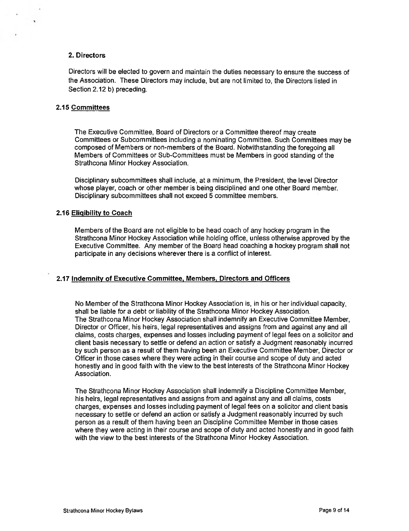## 2. Directors

Directors will be elected to govern and maintain the duties necessary to ensure the success of the Association. These Directors may include, but are not limited to, the Directors listed in Section 2.12 b) preceding.

### 2.15 Committees

The Executive Committee, Board of Directors or a Committee thereof may create Committees or Subcommittees including a nominating Committee. Such Committees may be composed of Members or non-members of the Board. Notwithstanding the foregoing all Members of Committees or Sub-Committees must be Members in good standing of the Strathcona Minor Hockey Association.

Disciplinary subcommittees shall include, at a minimum, the President, the level Director whose player, coach or other member is being disciplined and one other Board member. Disciplinary subcommittees shall not exceed 5 committee members.

### 2.16 Eligibility to Coach

Members of the Board are not eligible to be head coach of any hockey program in the Strathcona Minor Hockey Association while holding office, unless otherwise approved by the Executive Committee. Any member of the Board head coaching a hockey program shall not participate in any decisions wherever there is a conflict of interest.

## 2.17 Indemnity of Executive Committee, Members, Directors and Officers

No Member of the Strathcona Minor Hockey Association is, in his or her individual capacity, shall be liable for a debt or liability of the Strathcona Minor Hockey Association. The Strathcona Minor Hockey Association shall indemnify an Executive Committee Member, Director or Officer, his heirs, legal representatives and assigns from and against any and all claims, costs charges, expenses and losses including payment of legal fees on a solicitor and client basis necessary to settle or defend an action or satisfy a Judgment reasonably incurred by such person as a result of them having been an Executive Committee Member, Director or Officer in those cases where they were acting in their course and scope of duty and acted honestly and in good faith with the view to the best interests of the Strathcona Minor Hockey Association.

The Strathcona Minor Hockey Association shall indemnify a Discipline Committee Member, his heirs, legal representatives and assigns from and against any and all claims, costs charges, expenses and losses including payment of legal fees on a solicitor and client basis necessary to settle or defend an action or satisfy a Judgment reasonably incurred by such person as a result of them having been an Discipline Committee Member in those cases where they were acting in their course and scope of duty and acted honestly and in good faith with the view to the best interests of the Strathcona Minor Hockey Association.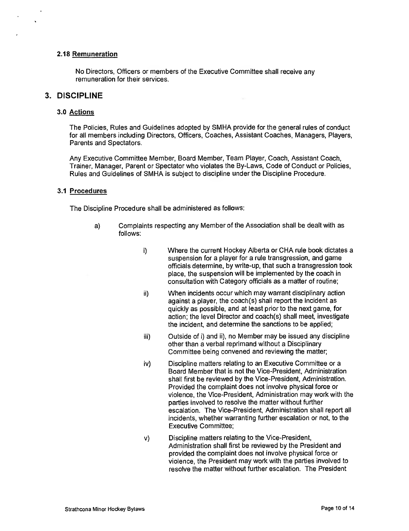## 2.18 Remuneration

No Directors, Officers or members of the Executive Committee shall receive any remuneration for their services.

## 3. DISCIPLINE

#### 3.0 Actions

The Policies, Rules and Guidelines adopted by SMHA provide for the general rules of conduct for all members including Directors, Officers, Coaches, Assistant Coaches, Managers, Players, Parents and Spectators.

Any Executive Committee Member, Board Member, Team Player, Coach, Assistant Coach, Trainer, Manager, Parent or Spectator who violates the By-Laws, Code of Conduct or Policies, Rules and Guidelines of SMHA is subject to discipline under the Discipline Procedure.

#### 3.1 Procedures

The Discipline Procedure shall be administered as follows:

- a) Complaints respecting any Member of the Association shall be dealt with as follows:
	- i) Where the current Hockey Alberta or CHA rule book dictates a suspension for a player for a rule transgression, and game officials determine, by write-up, that such a transgression took place, the suspension will be implemented by the coach in consultation with Category officials as a matter of routine;
	- ii) When incidents occur which may warrant disciplinary action against a player, the coach(s) shall report the incident as quickly as possible, and at least prior to the next game, for action; the level Director and coach(s) shall meet, investigate the incident, and determine the sanctions to be applied;
	- iii) Outside of i) and ii), no Member may be issued any discipline other than a verbal reprimand without a Disciplinary Committee being convened and reviewing the matter;
	- iv) Discipline matters relating to an Executive Committee or a Board Member that is not the Vice-President, Administration shall first be reviewed by the Vice-President, Administration. Provided the complaint does not involve physical force or violence, the Vice-President, Administration may work with the parties involved to resolve the matter without further escalation. The Vice-President, Administration shall report all incidents, whether warranting further escalation or not, to the Executive Committee;
	- v) Discipline matters relating to the Vice-President, Administration shall first be reviewed by the President and provided the complaint does not involve physical force or violence, the President may work with the parties involved to resolve the matter without further escalation. The President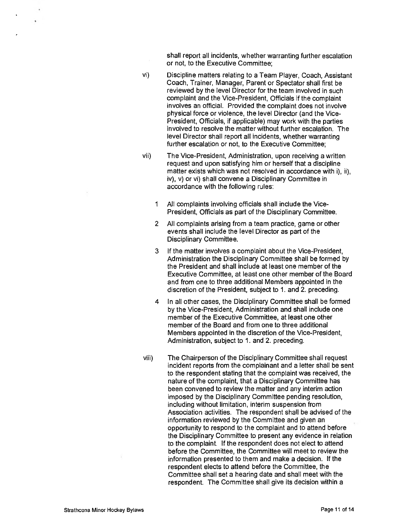shall report all incidents, whether warranting further escalation or not, to the Executive Committee;

- vi) Discipline matters relating to a Team Player, Coach, Assistant Coach, Trainer, Manager, Parent or Spectator shall first be reviewed by the level Director for the team involved in such complaint and the Vice-President, Officials if the complaint involves an official. Provided the complaint does not involve physical force or violence, the level Director (and the Vice-President, Officials, if applicable) may work with the parties involved to resolve the matter without further escalation. The level Director shall report all incidents, whether warranting further escalation or not, to the Executive Committee;
- vii) The Vice-President, Administration, upon receiving a written request and upon satisfying him or herself that a discipline matter exists which was not resolved in accordance with i), ii), iv), v) or vi) shall convene a Disciplinary Committee in accordance with the following rules:
	- 1 All complaints involving officials shall include the Vice-President, Officials as part of the Disciplinary Committee.
	- 2 All complaints arising from a team practice, game or other events shall include the level Director as part of the Disciplinary Committee.
	- 3 If the matter involves a complaint about the Vice-President, Administration the Disciplinary Committee shall be formed by the President and shall include at least one member of the Executive Committee, at least one other member of the Board and from one to three additional Members appointed in the discretion of the President, subject to 1. and 2. preceding.
	- 4 In all other cases, the Disciplinary Committee shall be formed by the Vice-President, Administration and shall include one member of the Executive Committee, at least one other member of the Board and from one to three additional Members appointed in the discretion of the Vice-President, Administration, subject to 1. and 2. preceding.
- viii) The Chairperson of the Disciplinary Committee shall request incident reports from the complainant and a letter shall be sent to the respondent stating that the complaint was received, the nature of the complaint, that a Disciplinary Committee has been convened to review the matter and any interim action imposed by the Disciplinary Committee pending resolution, including without limitation, interim suspension from Association activities. The respondent shall be advised of the information reviewed by the Committee and given an opportunity to respond to the complaint and to attend before the Disciplinary Committee to present any evidence in relation to the complaint. If the respondent does not elect to attend before the Committee, the Committee will meet to review the information presented to them and make a decision. If the respondent elects to attend before the Committee, the Committee shall set a hearing date and shall meet with the respondent. The Committee shall give its decision within a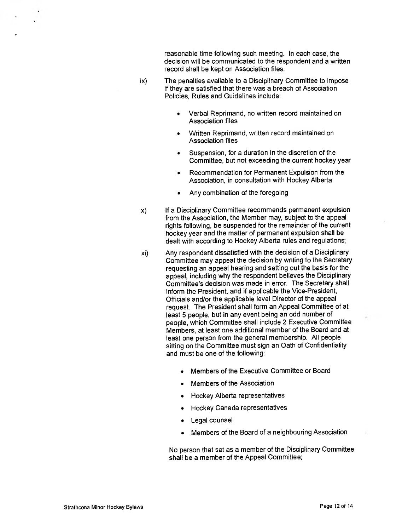reasonable time following such meeting. In each case, the decision will be communicated to the respondent and a written record shall be kept on Association files.

- ix) The penalties available to a Disciplinary Committee to impose if they are satisfied that there was a breach of Association Policies, Rules and Guidelines include:
	- Verbal Reprimand, no written record maintained on Association files
	- Written Reprimand, written record maintained on Association files
	- Suspension, for a duration in the discretion of the Committee, but not exceeding the current hockey year
	- Recommendation for Permanent Expulsion from the Association, in consultation with Hockey Alberta
	- Any combination of the foregoing
- x) If a Disciplinary Committee recommends permanent expulsion from the Association, the Member may, subject to the appeal rights following, be suspended for the remainder of the current hockey year and the matter of permanent expulsion shall be dealt with according to Hockey Alberta rules and regulations;
- xi) Any respondent dissatisfied with the decision of a Disciplinary Committee may appeal the decision by writing to the Secretary requesting an appeal hearing and setting out the basis for the appeal, including why the respondent believes the Disciplinary Committee's decision was made in error. The Secretary shall inform the President, and if applicable the Vice-President, Officials and/or the applicable level Director of the appeal request. The President shall form an Appeal Committee of at least 5 people, but in any event being an odd number of people, which Committee shall include 2 Executive Committee Members, at least one additional member of the Board and at least one person from the general membership. All people sitting on the Committee must sign an Oath of Confidentiality and must be one of the following:
	- Members of the Executive Committee or Board
	- Members of the Association
	- Hockey Alberta representatives
	- Hockey Canada representatives
	- Legal counsel
	- Members of the Board of a neighbouring Association

No person that sat as a member of the Disciplinary Committee shall be a member of the Appeal Committee;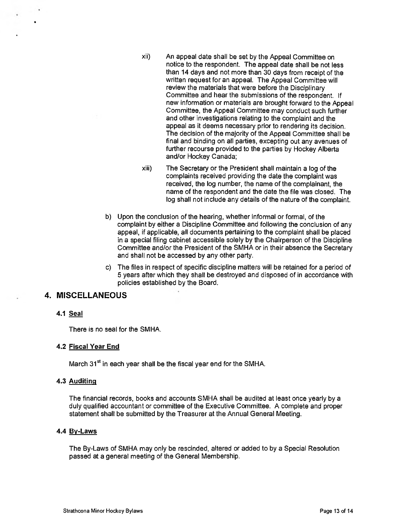- xii) An appeal date shall be set by the Appeal Committee on notice to the respondent. The appeal date shall be not less than 14 days and not more than 30 days from receipt of the written request for an appeal. The Appeal Committee will review the materials that were before the Disciplinary Committee and hear the submissions of the respondent. If new information or materials are brought forward to the Appeal Committee, the Appeal Committee may conduct such further and other investigations relating to the complaint and the appeal as it deems necessary prior to rendering its decision. The decision of the majority of the Appeal Committee shall be final and binding on all parties, excepting out any avenues of further recourse provided to the parties by Hockey Alberta and/or Hockey Canada;
- xiii) The Secretary or the President shall maintain a log of the complaints received providing the date the complaint was received, the log number, the name of the complainant, the name of the respondent and the date the file was closed. The log shall not include any details of the nature of the complaint.
- b) Upon the conclusion of the hearing, whether informal or formal, of the complaint by either a Discipline Committee and following the conclusion of any appeal, if applicable, all documents pertaining to the complaint shall be placed in a special filing cabinet accessible solely by the Chairperson of the Discipline Committee and/or the President of the SMHA or in their absence the Secretary and shall not be accessed by any other party.
- c) The files in respect of specific discipline matters will be retained for a period of 5 years after which they shall be destroyed and disposed of in accordance with policies established by the Board.

## 4. MISCELLANEOUS

## 4.1 Seal

There is no seal for the SMHA.

## 4.2 Fiscal Year End

March  $31<sup>st</sup>$  in each year shall be the fiscal year end for the SMHA.

## 4.3 Auditing

The financial records, books and accounts SMHA shall be audited at least once yearly by a duly qualified accountant or committee of the Executive Committee. A complete and proper statement shall be submitted by the Treasurer at the Annual General Meeting.

## 4.4 By-Laws

The By-Laws of SMHA may only be rescinded, altered or added to by a Special Resolution passed at a general meeting of the General Membership.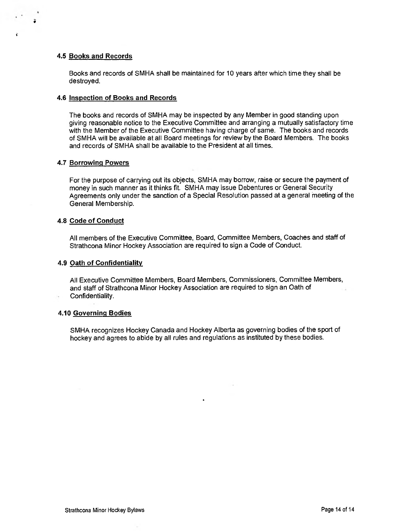#### 4.5 Books and Records

Books and records of SMHA shall be maintained for 10 years after which time they shall be destroyed.

#### 4.6 Inspection of Books and Records

The books and records of SMHA may be inspected by any Member in good standing upon giving reasonable notice to the Executive Committee and arranging a mutually satisfactory time with the Member of the Executive Committee having charge of same. The books and records of SMHA will be available at all Board meetings for review by the Board Members. The books and records of SMHA shall be available to the President at all times.

#### 4.7 Borrowing Powers

For the purpose of carrying out its objects, SMHA may borrow, raise or secure the payment of money in such manner as it thinks fit. SMHA may issue Debentures or General Security Agreements only under the sanction of a Special Resolution passed at a general meeting of the General Membership.

### 4.8 Code of Conduct

All members of the Executive Committee, Board, Committee Members, Coaches and staff of Strathcona Minor Hockey Association are required to sign a Code of Conduct.

#### 4.9 Oath of Confidentiality

All Executive Committee Members, Board Members, Commissioners, Committee Members, and staff of Strathcona Minor Hockey Association are required to sign an Oath of Confidentiality.

#### 4.10 Governing Bodies

SMHA recognizes Hockey Canada and Hockey Alberta as governing bodies of the sport of hockey and agrees to abide by all rules and regulations as instituted by these bodies.

 $\bullet$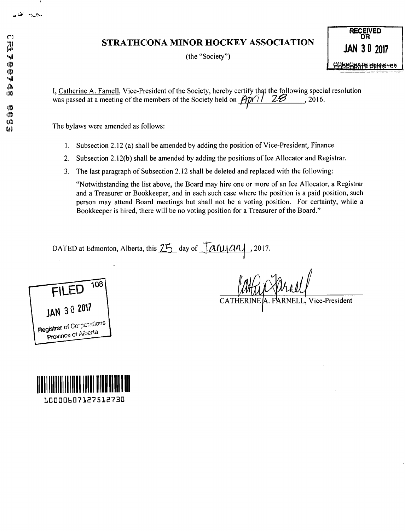# STRATHCONA MINOR HOCKEY ASSOCIATION

(the "Society")

**RECEIVED** DR **JAN 30 2017 FRIBBIAFE BEARTS** 

I, Catherine A. Farnell, Vice-President of the Society, hereby certify that the following special resolution was passed at a meeting of the members of the Society held on  $\overrightarrow{Ppp}$  / 22 ...

The bylaws were amended as follows:

- 1. Subsection 2.12 (a) shall be amended by adding the position of Vice-President, Finance.
- $2.$ Subsection 2.12(b) shall be amended by adding the positions of Ice Allocator and Registrar.
- 3. The last paragraph of Subsection 2.12 shall be deleted and replaced with the following:

"Notwithstanding the list above, the Board may hire one or more of an Ice Allocator, a Registrar and a Treasurer or Bookkeeper, and in each such case where the position is a paid position, such person may attend Board meetings but shall not be a voting position. For certainty, while a Bookkeeper is hired, there will be no voting position for a Treasurer of the Board."

DATED at Edmonton, Alberta, this 25 day of January  $, 2017.$ 



10000607127512730

A. FARNELL, Vice-President **CATHERINE** 

 $(1)$ 

نعا سيروب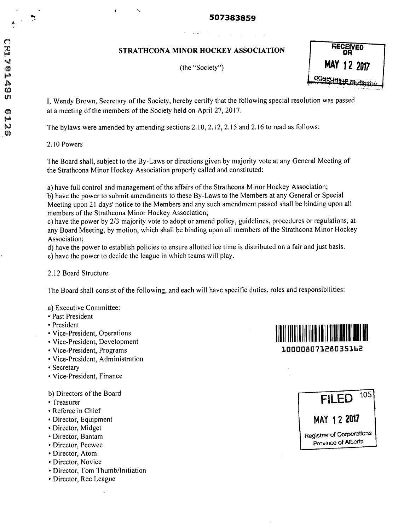# 507383859

# STRATHCONA MINOR HOCKEY ASSOCIATION

(the "Society")

**MAY 12 2017** 

I. Wendy Brown, Secretary of the Society, hereby certify that the following special resolution was passed at a meeting of the members of the Society held on April 27, 2017.

The bylaws were amended by amending sections 2.10, 2.12, 2.15 and 2.16 to read as follows:

2.10 Powers

The Board shall, subject to the By-Laws or directions given by majority vote at any General Meeting of the Strathcona Minor Hockey Association properly called and constituted:

a) have full control and management of the affairs of the Strathcona Minor Hockey Association; b) have the power to submit amendments to these By-Laws to the Members at any General or Special Meeting upon 21 days' notice to the Members and any such amendment passed shall be binding upon all members of the Strathcona Minor Hockey Association;

c) have the power by 2/3 majority vote to adopt or amend policy, guidelines, procedures or regulations, at any Board Meeting, by motion, which shall be binding upon all members of the Strathcona Minor Hockey Association;

d) have the power to establish policies to ensure allotted ice time is distributed on a fair and just basis. e) have the power to decide the league in which teams will play.

## 2.12 Board Structure

The Board shall consist of the following, and each will have specific duties, roles and responsibilities:

## a) Executive Committee:

- Past President
- President
- Vice-President, Operations
- Vice-President, Development
- Vice-President, Programs
- · Vice-President, Administration
- Secretary
- Vice-President, Finance

b) Directors of the Board

- Treasurer
- Referee in Chief
- Director, Equipment
- · Director, Midget
- · Director, Bantam
- Director, Peewee
- Director, Atom
- Director, Novice
- Director, Tom Thumb/Initiation
- Director, Rec League



105 **FILED** MAY 12 2017 **Registrar of Corporations** Province of Alberta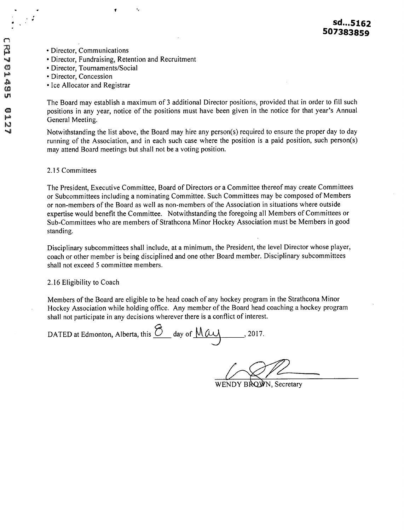- Director, Communications
- Director, Fundraising, Retention and Recruitment
- Director, Tournaments/Social
- Director, Concession
- Ice Allocator and Registrar

The Board may establish a maximum of 3 additional Director positions, provided that in order to fill such positions in any year, notice of the positions must have been given in the notice for that year's Annual General Meeting.

Notwithstanding the list above, the Board may hire any person(s) required to ensure the proper day to day running of the Association, and in each such case where the position is a paid position, such person(s) may attend Board meetings but shall not be a voting position.

## 2.15 Committees

The President, Executive Committee, Board of Directors or a Committee thereof may create Committees or Subcommittees including a nominating Committee. Such Committees may be composed of Members or non-members of the Board as well as non-members of the Association in situations where outside expertise would benefit the Committee. Notwithstanding the foregoing all Members of Committees or Sub-Committees who are members of Strathcona Minor Hockey Association must be Members in good standing.

Disciplinary subcommittees shall include, at a minimum, the President, the level Director whose player, coach or other member is being disciplined and one other Board member. Disciplinary subcommittees shall not exceed 5 committee members.

## 2.16 Eligibility to Coach

Members of the Board are eligible to be head coach of any hockey program in the Strathcona Minor Hockey Association while holding office. Any member of the Board head coaching a hockey program shall not participate in any decisions wherever there is a conflict of interest.

DATED at Edmonton, Alberta, this <u>O</u> day of May

WENDY BROWN, Secretary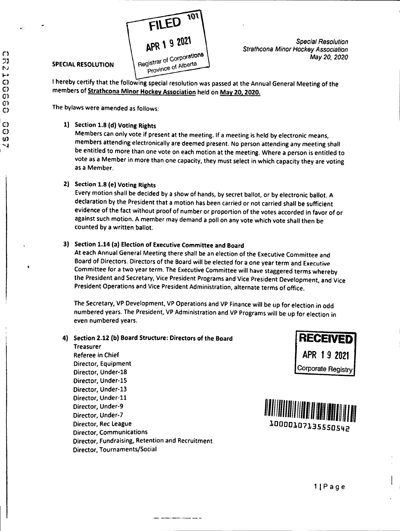

## **SPECIAL RESOLUTION**

**Special Resolution Strathcona Minor Hockey Association** May 20, 2020

I hereby certify that the following special resolution was passed at the Annual General Meeting of the members of Strathcona Minor Hockey Association held on May 20, 2020.

The bylaws were amended as follows:

# 1) Section 1.8 (d) Voting Rights

Members can only vote if present at the meeting. If a meeting is held by electronic means, members attending electronically are deemed present. No person attending any meeting shall be entitled to more than one vote on each motion at the meeting. Where a person is entitled to vote as a Member in more than one capacity, they must select in which capacity they are voting as a Member.

# 2) Section 1.8 (e) Voting Rights

Every motion shall be decided by a show of hands, by secret ballot, or by electronic ballot. A declaration by the President that a motion has been carried or not carried shall be sufficient evidence of the fact without proof of number or proportion of the votes accorded in favor of or against such motion. A member may demand a poll on any vote which vote shall then be counted by a written ballot.

# 3) Section 1.14 (a) Election of Executive Committee and Board

At each Annual General Meeting there shall be an election of the Executive Committee and Board of Directors. Directors of the Board will be elected for a one year term and Executive Committee for a two year term. The Executive Committee will have staggered terms whereby the President and Secretary, Vice President Programs and Vice President Development, and Vice President Operations and Vice President Administration, alternate terms of office.

The Secretary, VP Development, VP Operations and VP Finance will be up for election in odd numbered years. The President, VP Administration and VP Programs will be up for election in even numbered years.

## 4) Section 2.12 (b) Board Structure: Directors of the Board

**Treasurer Referee in Chief** Director, Equipment Director, Under-18 Director, Under-15 Director, Under-13 Director, Under-11 Director, Under-9 Director, Under-7 Director, Rec League **Director, Communications** Director, Fundraising, Retention and Recruitment Director, Tournaments/Social





C١ 71 Þ)  $\left| \cdot \right|$ C) C) O) O) C) C)  $\mathbf C$ u)